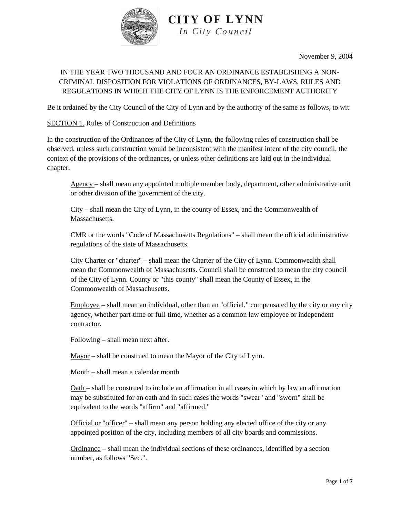

November 9, 2004

### IN THE YEAR TWO THOUSAND AND FOUR AN ORDINANCE ESTABLISHING A NON-CRIMINAL DISPOSITION FOR VIOLATIONS OF ORDINANCES, BY-LAWS, RULES AND REGULATIONS IN WHICH THE CITY OF LYNN IS THE ENFORCEMENT AUTHORITY

Be it ordained by the City Council of the City of Lynn and by the authority of the same as follows, to wit:

### SECTION 1. Rules of Construction and Definitions

In the construction of the Ordinances of the City of Lynn, the following rules of construction shall be observed, unless such construction would be inconsistent with the manifest intent of the city council, the context of the provisions of the ordinances, or unless other definitions are laid out in the individual chapter.

Agency – shall mean any appointed multiple member body, department, other administrative unit or other division of the government of the city.

City – shall mean the City of Lynn, in the county of Essex, and the Commonwealth of Massachusetts.

CMR or the words "Code of Massachusetts Regulations" – shall mean the official administrative regulations of the state of Massachusetts.

City Charter or "charter" – shall mean the Charter of the City of Lynn. Commonwealth shall mean the Commonwealth of Massachusetts. Council shall be construed to mean the city council of the City of Lynn. County or "this county" shall mean the County of Essex, in the Commonwealth of Massachusetts.

Employee – shall mean an individual, other than an "official," compensated by the city or any city agency, whether part-time or full-time, whether as a common law employee or independent contractor.

Following – shall mean next after.

Mayor – shall be construed to mean the Mayor of the City of Lynn.

Month – shall mean a calendar month

Oath – shall be construed to include an affirmation in all cases in which by law an affirmation may be substituted for an oath and in such cases the words "swear" and "sworn" shall be equivalent to the words "affirm" and "affirmed."

Official or "officer" – shall mean any person holding any elected office of the city or any appointed position of the city, including members of all city boards and commissions.

Ordinance – shall mean the individual sections of these ordinances, identified by a section number, as follows "Sec.".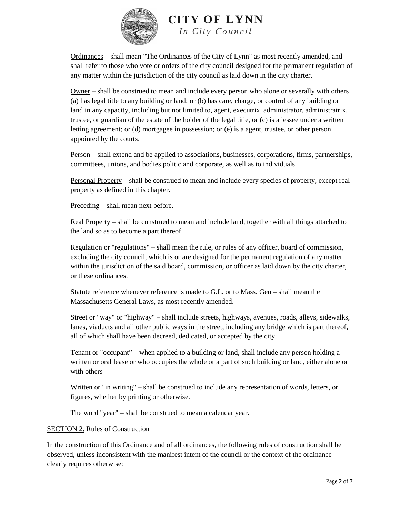

Ordinances – shall mean "The Ordinances of the City of Lynn" as most recently amended, and shall refer to those who vote or orders of the city council designed for the permanent regulation of any matter within the jurisdiction of the city council as laid down in the city charter.

Owner – shall be construed to mean and include every person who alone or severally with others (a) has legal title to any building or land; or (b) has care, charge, or control of any building or land in any capacity, including but not limited to, agent, executrix, administrator, administratrix, trustee, or guardian of the estate of the holder of the legal title, or (c) is a lessee under a written letting agreement; or (d) mortgagee in possession; or (e) is a agent, trustee, or other person appointed by the courts.

Person – shall extend and be applied to associations, businesses, corporations, firms, partnerships, committees, unions, and bodies politic and corporate, as well as to individuals.

Personal Property – shall be construed to mean and include every species of property, except real property as defined in this chapter.

Preceding – shall mean next before.

Real Property – shall be construed to mean and include land, together with all things attached to the land so as to become a part thereof.

Regulation or "regulations" – shall mean the rule, or rules of any officer, board of commission, excluding the city council, which is or are designed for the permanent regulation of any matter within the jurisdiction of the said board, commission, or officer as laid down by the city charter, or these ordinances.

Statute reference whenever reference is made to G.L. or to Mass. Gen – shall mean the Massachusetts General Laws, as most recently amended.

Street or "way" or "highway" – shall include streets, highways, avenues, roads, alleys, sidewalks, lanes, viaducts and all other public ways in the street, including any bridge which is part thereof, all of which shall have been decreed, dedicated, or accepted by the city.

Tenant or "occupant" – when applied to a building or land, shall include any person holding a written or oral lease or who occupies the whole or a part of such building or land, either alone or with others

Written or "in writing" – shall be construed to include any representation of words, letters, or figures, whether by printing or otherwise.

The word "year" – shall be construed to mean a calendar year.

### SECTION 2. Rules of Construction

In the construction of this Ordinance and of all ordinances, the following rules of construction shall be observed, unless inconsistent with the manifest intent of the council or the context of the ordinance clearly requires otherwise: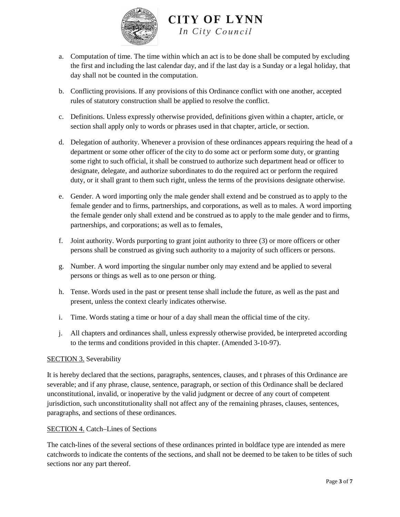

- a. Computation of time. The time within which an act is to be done shall be computed by excluding the first and including the last calendar day, and if the last day is a Sunday or a legal holiday, that day shall not be counted in the computation.
- b. Conflicting provisions. If any provisions of this Ordinance conflict with one another, accepted rules of statutory construction shall be applied to resolve the conflict.
- c. Definitions. Unless expressly otherwise provided, definitions given within a chapter, article, or section shall apply only to words or phrases used in that chapter, article, or section.
- d. Delegation of authority. Whenever a provision of these ordinances appears requiring the head of a department or some other officer of the city to do some act or perform some duty, or granting some right to such official, it shall be construed to authorize such department head or officer to designate, delegate, and authorize subordinates to do the required act or perform the required duty, or it shall grant to them such right, unless the terms of the provisions designate otherwise.
- e. Gender. A word importing only the male gender shall extend and be construed as to apply to the female gender and to firms, partnerships, and corporations, as well as to males. A word importing the female gender only shall extend and be construed as to apply to the male gender and to firms, partnerships, and corporations; as well as to females,
- f. Joint authority. Words purporting to grant joint authority to three (3) or more officers or other persons shall be construed as giving such authority to a majority of such officers or persons.
- g. Number. A word importing the singular number only may extend and be applied to several persons or things as well as to one person or thing.
- h. Tense. Words used in the past or present tense shall include the future, as well as the past and present, unless the context clearly indicates otherwise.
- i. Time. Words stating a time or hour of a day shall mean the official time of the city.
- j. All chapters and ordinances shall, unless expressly otherwise provided, be interpreted according to the terms and conditions provided in this chapter. (Amended 3-10-97).

### SECTION 3. Severability

It is hereby declared that the sections, paragraphs, sentences, clauses, and t phrases of this Ordinance are severable; and if any phrase, clause, sentence, paragraph, or section of this Ordinance shall be declared unconstitutional, invalid, or inoperative by the valid judgment or decree of any court of competent jurisdiction, such unconstitutionality shall not affect any of the remaining phrases, clauses, sentences, paragraphs, and sections of these ordinances.

### SECTION 4. Catch–Lines of Sections

The catch-lines of the several sections of these ordinances printed in boldface type are intended as mere catchwords to indicate the contents of the sections, and shall not be deemed to be taken to be titles of such sections nor any part thereof.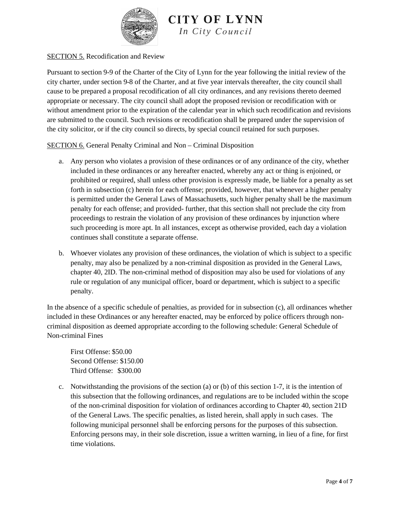

### SECTION 5. Recodification and Review

Pursuant to section 9-9 of the Charter of the City of Lynn for the year following the initial review of the city charter, under section 9-8 of the Charter, and at five year intervals thereafter, the city council shall cause to be prepared a proposal recodification of all city ordinances, and any revisions thereto deemed appropriate or necessary. The city council shall adopt the proposed revision or recodification with or without amendment prior to the expiration of the calendar year in which such recodification and revisions are submitted to the council. Such revisions or recodification shall be prepared under the supervision of the city solicitor, or if the city council so directs, by special council retained for such purposes.

### SECTION 6. General Penalty Criminal and Non – Criminal Disposition

- a. Any person who violates a provision of these ordinances or of any ordinance of the city, whether included in these ordinances or any hereafter enacted, whereby any act or thing is enjoined, or prohibited or required, shall unless other provision is expressly made, be liable for a penalty as set forth in subsection (c) herein for each offense; provided, however, that whenever a higher penalty is permitted under the General Laws of Massachusetts, such higher penalty shall be the maximum penalty for each offense; and provided- further, that this section shall not preclude the city from proceedings to restrain the violation of any provision of these ordinances by injunction where such proceeding is more apt. In all instances, except as otherwise provided, each day a violation continues shall constitute a separate offense.
- b. Whoever violates any provision of these ordinances, the violation of which is subject to a specific penalty, may also be penalized by a non-criminal disposition as provided in the General Laws, chapter 40, 2ID. The non-criminal method of disposition may also be used for violations of any rule or regulation of any municipal officer, board or department, which is subject to a specific penalty.

In the absence of a specific schedule of penalties, as provided for in subsection (c), all ordinances whether included in these Ordinances or any hereafter enacted, may be enforced by police officers through noncriminal disposition as deemed appropriate according to the following schedule: General Schedule of Non-criminal Fines

First Offense: \$50.00 Second Offense: \$150.00 Third Offense: \$300.00

c. Notwithstanding the provisions of the section (a) or (b) of this section 1-7, it is the intention of this subsection that the following ordinances, and regulations are to be included within the scope of the non-criminal disposition for violation of ordinances according to Chapter 40, section 21D of the General Laws. The specific penalties, as listed herein, shall apply in such cases. The following municipal personnel shall be enforcing persons for the purposes of this subsection. Enforcing persons may, in their sole discretion, issue a written warning, in lieu of a fine, for first time violations.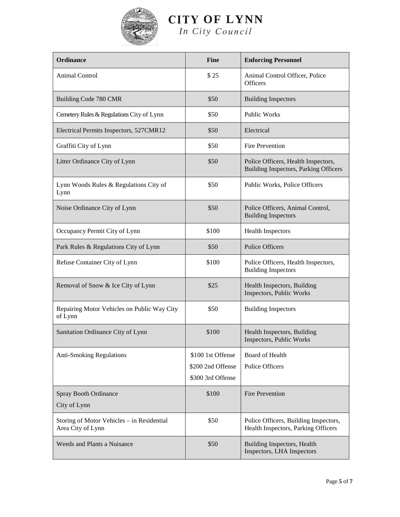

# **CITY OF LYNN**

*In City* 

| <b>Ordinance</b>                                                | <b>Fine</b>       | <b>Enforcing Personnel</b>                                                   |
|-----------------------------------------------------------------|-------------------|------------------------------------------------------------------------------|
| Animal Control                                                  | \$25              | Animal Control Officer, Police<br><b>Officers</b>                            |
| Building Code 780 CMR                                           | \$50              | <b>Building Inspectors</b>                                                   |
| Cemetery Rules & Regulations City of Lynn                       | \$50              | <b>Public Works</b>                                                          |
| Electrical Permits Inspectors, 527CMR12                         | \$50              | Electrical                                                                   |
| Graffiti City of Lynn                                           | \$50              | <b>Fire Prevention</b>                                                       |
| Litter Ordinance City of Lynn                                   | \$50              | Police Officers, Health Inspectors,<br>Building Inspectors, Parking Officers |
| Lynn Woods Rules & Regulations City of<br>Lynn                  | \$50              | Public Works, Police Officers                                                |
| Noise Ordinance City of Lynn                                    | \$50              | Police Officers, Animal Control,<br><b>Building Inspectors</b>               |
| Occupancy Permit City of Lynn                                   | \$100             | <b>Health Inspectors</b>                                                     |
| Park Rules & Regulations City of Lynn                           | \$50              | Police Officers                                                              |
| Refuse Container City of Lynn                                   | \$100             | Police Officers, Health Inspectors,<br><b>Building Inspectors</b>            |
| Removal of Snow & Ice City of Lynn                              | \$25              | Health Inspectors, Building<br>Inspectors, Public Works                      |
| Repairing Motor Vehicles on Public Way City<br>of Lynn          | \$50              | <b>Building Inspectors</b>                                                   |
| Sanitation Ordinance City of Lynn                               | \$100             | Health Inspectors, Building<br>Inspectors, Public Works                      |
| <b>Anti-Smoking Regulations</b>                                 | \$100 1st Offense | Board of Health                                                              |
|                                                                 | \$200 2nd Offense | <b>Police Officers</b>                                                       |
|                                                                 | \$300 3rd Offense |                                                                              |
| Spray Booth Ordinance<br>City of Lynn                           | \$100             | <b>Fire Prevention</b>                                                       |
| Storing of Motor Vehicles - in Residential<br>Area City of Lynn | \$50              | Police Officers, Building Inspectors,<br>Health Inspectors, Parking Officers |
| <b>Weeds and Plants a Nuisance</b>                              | \$50              | Building Inspectors, Health<br>Inspectors, LHA Inspectors                    |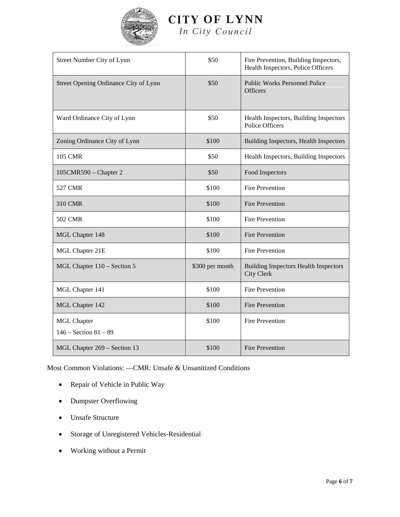

## **CITY OF LYNN**

*In City* 

| Street Number City of Lynn                      | \$50            | Fire Prevention, Building Inspectors,<br>Health Inspectors, Police Officers |
|-------------------------------------------------|-----------------|-----------------------------------------------------------------------------|
| Street Opening Ordinance City of Lynn           | \$50            | <b>Public Works Personnel Police</b><br><b>Officers</b>                     |
| Ward Ordinance City of Lynn                     | \$50            | Health Inspectors, Building Inspectors<br><b>Police Officers</b>            |
| Zoning Ordinance City of Lynn                   | \$100           | Building Inspectors, Health Inspectors                                      |
| <b>105 CMR</b>                                  | \$50            | Health Inspectors, Building Inspectors                                      |
| $105$ CMR590 – Chapter 2                        | \$50            | Food Inspectors                                                             |
| <b>527 CMR</b>                                  | \$100           | <b>Fire Prevention</b>                                                      |
| 310 CMR                                         | \$100           | <b>Fire Prevention</b>                                                      |
| <b>502 CMR</b>                                  | \$100           | <b>Fire Prevention</b>                                                      |
| MGL Chapter 148                                 | \$100           | <b>Fire Prevention</b>                                                      |
| MGL Chapter 21E                                 | \$100           | <b>Fire Prevention</b>                                                      |
| MGL Chapter 110 – Section 5                     | \$300 per month | <b>Building Inspectors Health Inspectors</b><br><b>City Clerk</b>           |
| MGL Chapter 141                                 | \$100           | <b>Fire Prevention</b>                                                      |
| MGL Chapter 142                                 | \$100           | <b>Fire Prevention</b>                                                      |
| <b>MGL Chapter</b><br>$146 -$ Section $81 - 89$ | \$100           | <b>Fire Prevention</b>                                                      |
| MGL Chapter 269 - Section 13                    | \$100           | <b>Fire Prevention</b>                                                      |

Most Common Violations: —CMR: Unsafe & Unsanitized Conditions

- Repair of Vehicle in Public Way
- Dumpster Overflowing
- Unsafe Structure
- Storage of Unregistered Vehicles-Residential
- Working without a Permit